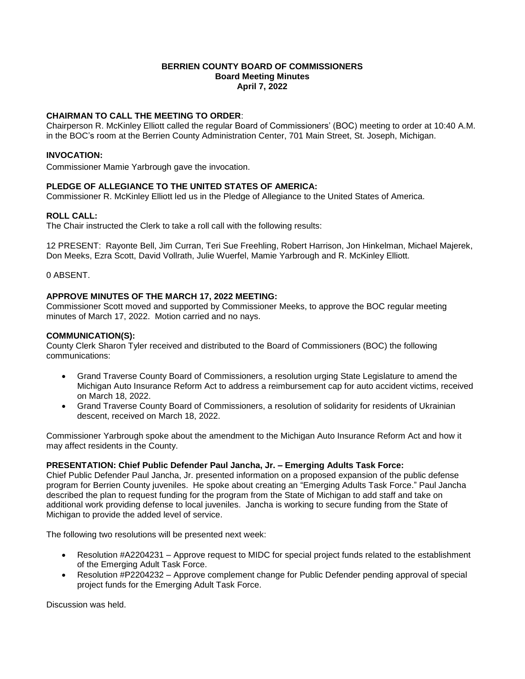# **BERRIEN COUNTY BOARD OF COMMISSIONERS Board Meeting Minutes April 7, 2022**

# **CHAIRMAN TO CALL THE MEETING TO ORDER**:

Chairperson R. McKinley Elliott called the regular Board of Commissioners' (BOC) meeting to order at 10:40 A.M. in the BOC's room at the Berrien County Administration Center, 701 Main Street, St. Joseph, Michigan.

# **INVOCATION:**

Commissioner Mamie Yarbrough gave the invocation.

# **PLEDGE OF ALLEGIANCE TO THE UNITED STATES OF AMERICA:**

Commissioner R. McKinley Elliott led us in the Pledge of Allegiance to the United States of America.

## **ROLL CALL:**

The Chair instructed the Clerk to take a roll call with the following results:

12 PRESENT: Rayonte Bell, Jim Curran, Teri Sue Freehling, Robert Harrison, Jon Hinkelman, Michael Majerek, Don Meeks, Ezra Scott, David Vollrath, Julie Wuerfel, Mamie Yarbrough and R. McKinley Elliott.

0 ABSENT.

# **APPROVE MINUTES OF THE MARCH 17, 2022 MEETING:**

Commissioner Scott moved and supported by Commissioner Meeks, to approve the BOC regular meeting minutes of March 17, 2022. Motion carried and no nays.

# **COMMUNICATION(S):**

County Clerk Sharon Tyler received and distributed to the Board of Commissioners (BOC) the following communications:

- Grand Traverse County Board of Commissioners, a resolution urging State Legislature to amend the Michigan Auto Insurance Reform Act to address a reimbursement cap for auto accident victims, received on March 18, 2022.
- Grand Traverse County Board of Commissioners, a resolution of solidarity for residents of Ukrainian descent, received on March 18, 2022.

Commissioner Yarbrough spoke about the amendment to the Michigan Auto Insurance Reform Act and how it may affect residents in the County.

## **PRESENTATION: Chief Public Defender Paul Jancha, Jr. – Emerging Adults Task Force:**

Chief Public Defender Paul Jancha, Jr. presented information on a proposed expansion of the public defense program for Berrien County juveniles. He spoke about creating an "Emerging Adults Task Force." Paul Jancha described the plan to request funding for the program from the State of Michigan to add staff and take on additional work providing defense to local juveniles. Jancha is working to secure funding from the State of Michigan to provide the added level of service.

The following two resolutions will be presented next week:

- Resolution #A2204231 Approve request to MIDC for special project funds related to the establishment of the Emerging Adult Task Force.
- Resolution #P2204232 Approve complement change for Public Defender pending approval of special project funds for the Emerging Adult Task Force.

Discussion was held.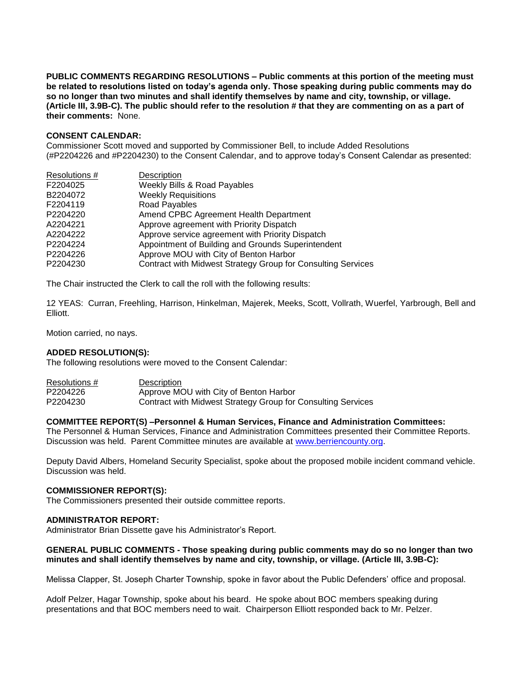**PUBLIC COMMENTS REGARDING RESOLUTIONS – Public comments at this portion of the meeting must be related to resolutions listed on today's agenda only. Those speaking during public comments may do so no longer than two minutes and shall identify themselves by name and city, township, or village. (Article III, 3.9B-C). The public should refer to the resolution # that they are commenting on as a part of their comments:** None.

#### **CONSENT CALENDAR:**

Commissioner Scott moved and supported by Commissioner Bell, to include Added Resolutions (#P2204226 and #P2204230) to the Consent Calendar, and to approve today's Consent Calendar as presented:

| Resolutions # | Description                                                  |
|---------------|--------------------------------------------------------------|
| F2204025      | Weekly Bills & Road Payables                                 |
| B2204072      | <b>Weekly Requisitions</b>                                   |
| F2204119      | Road Payables                                                |
| P2204220      | Amend CPBC Agreement Health Department                       |
| A2204221      | Approve agreement with Priority Dispatch                     |
| A2204222      | Approve service agreement with Priority Dispatch             |
| P2204224      | Appointment of Building and Grounds Superintendent           |
| P2204226      | Approve MOU with City of Benton Harbor                       |
| P2204230      | Contract with Midwest Strategy Group for Consulting Services |

The Chair instructed the Clerk to call the roll with the following results:

12 YEAS: Curran, Freehling, Harrison, Hinkelman, Majerek, Meeks, Scott, Vollrath, Wuerfel, Yarbrough, Bell and Elliott.

Motion carried, no nays.

## **ADDED RESOLUTION(S):**

The following resolutions were moved to the Consent Calendar:

| Resolutions # | Description                                                  |
|---------------|--------------------------------------------------------------|
| P2204226      | Approve MOU with City of Benton Harbor                       |
| P2204230      | Contract with Midwest Strategy Group for Consulting Services |

## **COMMITTEE REPORT(S) –Personnel & Human Services, Finance and Administration Committees:**

The Personnel & Human Services, Finance and Administration Committees presented their Committee Reports. Discussion was held. Parent Committee minutes are available at [www.berriencounty.org.](http://www.berriencounty.org/)

Deputy David Albers, Homeland Security Specialist, spoke about the proposed mobile incident command vehicle. Discussion was held.

#### **COMMISSIONER REPORT(S):**

The Commissioners presented their outside committee reports.

#### **ADMINISTRATOR REPORT:**

Administrator Brian Dissette gave his Administrator's Report.

## **GENERAL PUBLIC COMMENTS - Those speaking during public comments may do so no longer than two minutes and shall identify themselves by name and city, township, or village. (Article III, 3.9B-C):**

Melissa Clapper, St. Joseph Charter Township, spoke in favor about the Public Defenders' office and proposal.

Adolf Pelzer, Hagar Township, spoke about his beard. He spoke about BOC members speaking during presentations and that BOC members need to wait. Chairperson Elliott responded back to Mr. Pelzer.